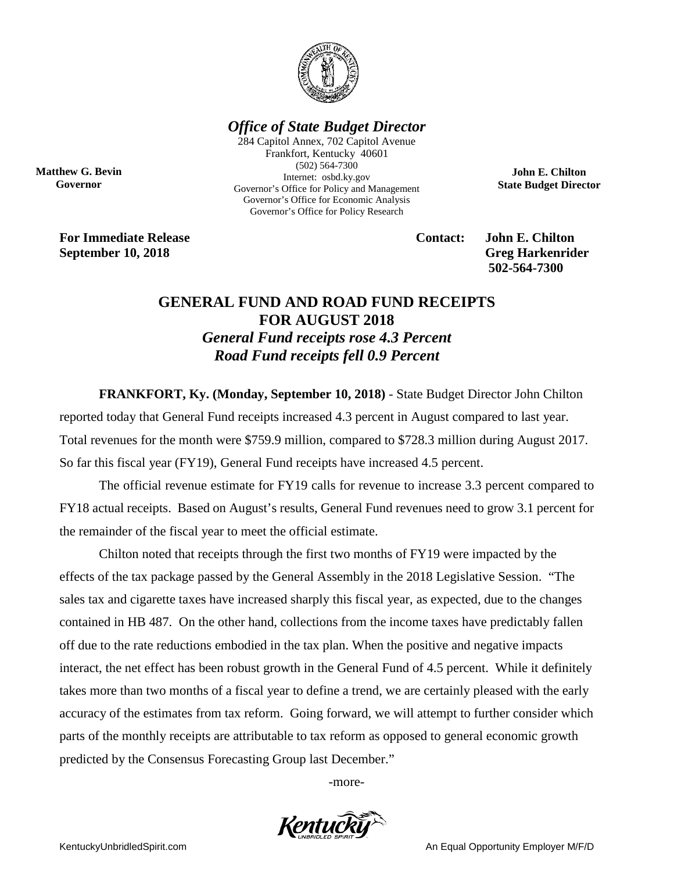

## *Office of State Budget Director*

284 Capitol Annex, 702 Capitol Avenue Frankfort, Kentucky 40601 (502) 564-7300 Internet: osbd.ky.gov Governor's Office for Policy and Management Governor's Office for Economic Analysis Governor's Office for Policy Research

**For Immediate Release Contact: John E. Chilton September 10, 2018** Greg Harkenrider

**Matthew G. Bevin Governor**

**502-564-7300** 

**John E. Chilton State Budget Director**

## **GENERAL FUND AND ROAD FUND RECEIPTS FOR AUGUST 2018** *General Fund receipts rose 4.3 Percent Road Fund receipts fell 0.9 Percent*

**FRANKFORT, Ky. (Monday, September 10, 2018)** - State Budget Director John Chilton

reported today that General Fund receipts increased 4.3 percent in August compared to last year. Total revenues for the month were \$759.9 million, compared to \$728.3 million during August 2017. So far this fiscal year (FY19), General Fund receipts have increased 4.5 percent.

The official revenue estimate for FY19 calls for revenue to increase 3.3 percent compared to FY18 actual receipts. Based on August's results, General Fund revenues need to grow 3.1 percent for the remainder of the fiscal year to meet the official estimate.

Chilton noted that receipts through the first two months of FY19 were impacted by the effects of the tax package passed by the General Assembly in the 2018 Legislative Session. "The sales tax and cigarette taxes have increased sharply this fiscal year, as expected, due to the changes contained in HB 487. On the other hand, collections from the income taxes have predictably fallen off due to the rate reductions embodied in the tax plan. When the positive and negative impacts interact, the net effect has been robust growth in the General Fund of 4.5 percent. While it definitely takes more than two months of a fiscal year to define a trend, we are certainly pleased with the early accuracy of the estimates from tax reform. Going forward, we will attempt to further consider which parts of the monthly receipts are attributable to tax reform as opposed to general economic growth predicted by the Consensus Forecasting Group last December."

-more-



KentuckyUnbridledSpirit.com **An Equal Opportunity Employer M/F/D** An Equal Opportunity Employer M/F/D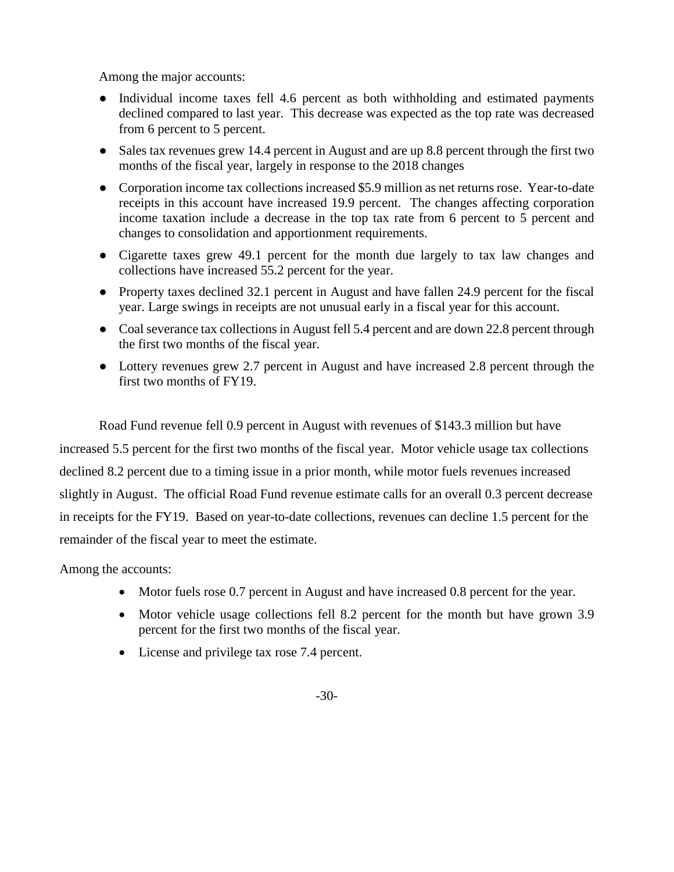Among the major accounts:

- Individual income taxes fell 4.6 percent as both withholding and estimated payments declined compared to last year. This decrease was expected as the top rate was decreased from 6 percent to 5 percent.
- Sales tax revenues grew 14.4 percent in August and are up 8.8 percent through the first two months of the fiscal year, largely in response to the 2018 changes
- Corporation income tax collections increased \$5.9 million as net returns rose. Year-to-date receipts in this account have increased 19.9 percent. The changes affecting corporation income taxation include a decrease in the top tax rate from 6 percent to 5 percent and changes to consolidation and apportionment requirements.
- Cigarette taxes grew 49.1 percent for the month due largely to tax law changes and collections have increased 55.2 percent for the year.
- Property taxes declined 32.1 percent in August and have fallen 24.9 percent for the fiscal year. Large swings in receipts are not unusual early in a fiscal year for this account.
- Coal severance tax collections in August fell 5.4 percent and are down 22.8 percent through the first two months of the fiscal year.
- Lottery revenues grew 2.7 percent in August and have increased 2.8 percent through the first two months of FY19.

Road Fund revenue fell 0.9 percent in August with revenues of \$143.3 million but have increased 5.5 percent for the first two months of the fiscal year. Motor vehicle usage tax collections declined 8.2 percent due to a timing issue in a prior month, while motor fuels revenues increased slightly in August. The official Road Fund revenue estimate calls for an overall 0.3 percent decrease in receipts for the FY19. Based on year-to-date collections, revenues can decline 1.5 percent for the remainder of the fiscal year to meet the estimate.

Among the accounts:

- Motor fuels rose 0.7 percent in August and have increased 0.8 percent for the year.
- Motor vehicle usage collections fell 8.2 percent for the month but have grown 3.9 percent for the first two months of the fiscal year.
- License and privilege tax rose 7.4 percent.
	- -30-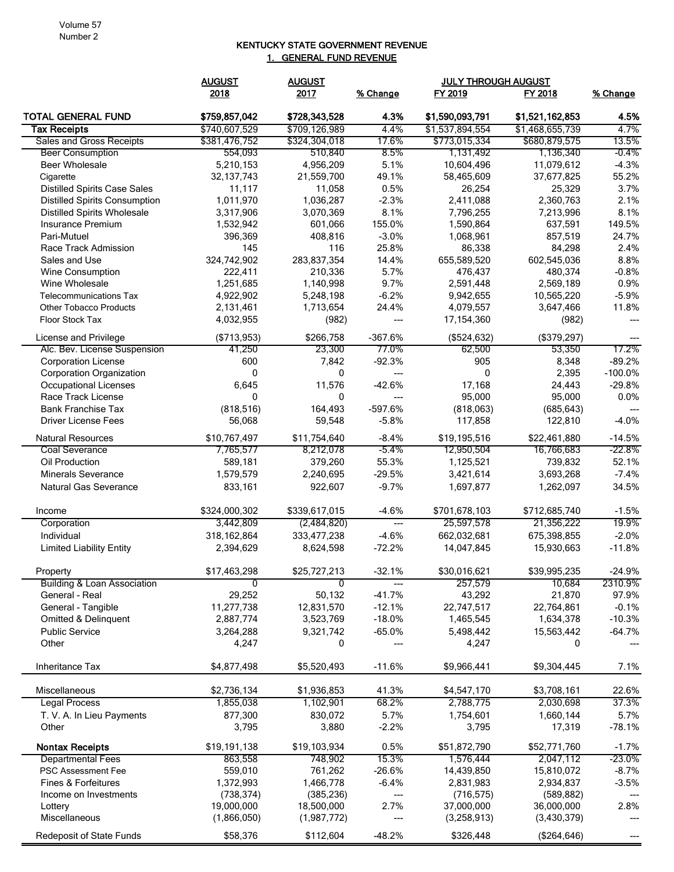## KENTUCKY STATE GOVERNMENT REVENUE 1. GENERAL FUND REVENUE

|                                        | <b>AUGUST</b>  | <b>AUGUST</b>  |                        | <b>JULY THROUGH AUGUST</b> |                 |           |
|----------------------------------------|----------------|----------------|------------------------|----------------------------|-----------------|-----------|
|                                        | 2018           | 2017           | % Change               | FY 2019                    | FY 2018         | % Change  |
| <b>TOTAL GENERAL FUND</b>              | \$759,857,042  | \$728,343,528  | 4.3%                   | \$1,590,093,791            | \$1,521,162,853 | 4.5%      |
| <b>Tax Receipts</b>                    | \$740,607,529  | \$709,126,989  | 4.4%                   | \$1,537,894,554            | \$1,468,655,739 | 4.7%      |
| <b>Sales and Gross Receipts</b>        | \$381,476,752  | \$324,304,018  | 17.6%                  | \$773,015,334              | \$680,879,575   | 13.5%     |
| <b>Beer Consumption</b>                | 554,093        | 510,840        | 8.5%                   | 1,131,492                  | 1,136,340       | -0.4%     |
| <b>Beer Wholesale</b>                  | 5,210,153      | 4,956,209      | 5.1%                   | 10,604,496                 | 11,079,612      | $-4.3%$   |
| Cigarette                              | 32, 137, 743   | 21,559,700     | 49.1%                  | 58,465,609                 | 37,677,825      | 55.2%     |
| <b>Distilled Spirits Case Sales</b>    | 11,117         | 11,058         | 0.5%                   | 26,254                     | 25,329          | 3.7%      |
| <b>Distilled Spirits Consumption</b>   | 1,011,970      | 1,036,287      | $-2.3%$                | 2,411,088                  | 2,360,763       | 2.1%      |
| <b>Distilled Spirits Wholesale</b>     | 3,317,906      | 3,070,369      | 8.1%                   | 7,796,255                  | 7,213,996       | 8.1%      |
| Insurance Premium                      | 1,532,942      | 601,066        | 155.0%                 | 1,590,864                  | 637,591         | 149.5%    |
| Pari-Mutuel                            | 396,369        | 408,816        | $-3.0%$                | 1,068,961                  | 857,519         | 24.7%     |
| Race Track Admission                   | 145            | 116            | 25.8%                  | 86,338                     | 84,298          | 2.4%      |
| Sales and Use                          | 324,742,902    | 283,837,354    | 14.4%                  | 655,589,520                | 602,545,036     | 8.8%      |
| Wine Consumption                       | 222,411        | 210,336        | 5.7%                   | 476,437                    | 480,374         | $-0.8%$   |
| Wine Wholesale                         | 1,251,685      | 1,140,998      | 9.7%                   | 2,591,448                  | 2,569,189       | 0.9%      |
| <b>Telecommunications Tax</b>          | 4,922,902      | 5,248,198      | $-6.2%$                | 9,942,655                  | 10,565,220      | $-5.9%$   |
| <b>Other Tobacco Products</b>          | 2,131,461      | 1,713,654      | 24.4%                  | 4,079,557                  | 3,647,466       | 11.8%     |
| <b>Floor Stock Tax</b>                 | 4,032,955      | (982)          | $\qquad \qquad \cdots$ | 17,154,360                 | (982)           | ---       |
| License and Privilege                  | (\$713,953)    | \$266,758      | -367.6%                | (\$524,632)                | (\$379,297)     |           |
| Alc. Bev. License Suspension           | 41,250         | 23,300         | 77.0%                  | 62,500                     | 53,350          | 17.2%     |
| <b>Corporation License</b>             | 600            | 7,842          | $-92.3%$               | 905                        | 8,348           | $-89.2%$  |
| <b>Corporation Organization</b>        | 0              | 0              | $\overline{a}$         | 0                          | 2,395           | $-100.0%$ |
| Occupational Licenses                  | 6,645          | 11,576         | $-42.6%$               | 17,168                     | 24,443          | $-29.8%$  |
| Race Track License                     | $\mathbf{0}$   | $\mathbf{0}$   | $\overline{a}$         | 95,000                     | 95,000          | 0.0%      |
| <b>Bank Franchise Tax</b>              | (818, 516)     | 164,493        | -597.6%                | (818,063)                  | (685, 643)      | ---       |
| <b>Driver License Fees</b>             | 56,068         | 59,548         | $-5.8%$                | 117,858                    | 122,810         | $-4.0%$   |
| <b>Natural Resources</b>               | \$10,767,497   | \$11,754,640   | $-8.4%$                | \$19,195,516               | \$22,461,880    | $-14.5%$  |
| Coal Severance                         | 7,765,577      | 8,212,078      | $-5.4\%$               | 12,950,504                 | 16,766,683      | -22.8%    |
| Oil Production                         | 589,181        | 379,260        | 55.3%                  | 1,125,521                  | 739,832         | 52.1%     |
| Minerals Severance                     | 1,579,579      | 2,240,695      | $-29.5%$               | 3,421,614                  | 3,693,268       | $-7.4%$   |
| Natural Gas Severance                  | 833,161        | 922,607        | $-9.7%$                | 1,697,877                  | 1,262,097       | 34.5%     |
| Income                                 | \$324,000,302  | \$339,617,015  | $-4.6%$                | \$701,678,103              | \$712,685,740   | $-1.5%$   |
| Corporation                            | 3,442,809      | (2,484,820)    | $---$                  | 25,597,578                 | 21,356,222      | 19.9%     |
| Individual                             | 318, 162, 864  | 333,477,238    | $-4.6%$                | 662,032,681                | 675,398,855     | $-2.0%$   |
| <b>Limited Liability Entity</b>        | 2,394,629      | 8,624,598      | $-72.2%$               | 14,047,845                 | 15,930,663      | $-11.8%$  |
| Property                               | \$17,463,298   | \$25,727,213   | $-32.1%$               | \$30,016,621               | \$39,995,235    | $-24.9%$  |
| <b>Building &amp; Loan Association</b> | $\overline{0}$ | $\overline{0}$ | $\qquad \qquad \cdots$ | 257,579                    | 10,684          | 2310.9%   |
| General - Real                         | 29,252         | 50,132         | $-41.7%$               | 43,292                     | 21,870          | 97.9%     |
| General - Tangible                     | 11,277,738     | 12,831,570     | $-12.1%$               | 22,747,517                 | 22,764,861      | $-0.1%$   |
| Omitted & Delinquent                   | 2,887,774      | 3,523,769      | $-18.0%$               | 1,465,545                  | 1,634,378       | $-10.3%$  |
| <b>Public Service</b>                  | 3,264,288      | 9,321,742      | $-65.0%$               | 5,498,442                  | 15,563,442      | $-64.7%$  |
| Other                                  | 4,247          | 0              |                        | 4,247                      | 0               |           |
| Inheritance Tax                        | \$4,877,498    | \$5,520,493    | $-11.6%$               | \$9,966,441                | \$9,304,445     | 7.1%      |
| Miscellaneous                          | \$2,736,134    | \$1,936,853    | 41.3%                  | \$4,547,170                | \$3,708,161     | 22.6%     |
| <b>Legal Process</b>                   | 1,855,038      | 1,102,901      | 68.2%                  | 2,788,775                  | 2,030,698       | 37.3%     |
| T. V. A. In Lieu Payments              | 877,300        | 830,072        | 5.7%                   | 1,754,601                  | 1,660,144       | 5.7%      |
| Other                                  | 3,795          | 3,880          | $-2.2%$                | 3,795                      | 17,319          | $-78.1%$  |
| <b>Nontax Receipts</b>                 | \$19,191,138   | \$19,103,934   | 0.5%                   | \$51,872,790               | \$52,771,760    | $-1.7%$   |
| <b>Departmental Fees</b>               | 863,558        | 748,902        | 15.3%                  | 1,576,444                  | 2,047,112       | -23.0%    |
| <b>PSC Assessment Fee</b>              | 559,010        | 761,262        | $-26.6%$               | 14,439,850                 | 15,810,072      | $-8.7%$   |
| Fines & Forfeitures                    | 1,372,993      | 1,466,778      | $-6.4%$                | 2,831,983                  | 2,934,837       | $-3.5%$   |
| Income on Investments                  | (738, 374)     | (385, 236)     | ---                    | (716, 575)                 | (589, 882)      |           |
| Lottery                                | 19,000,000     | 18,500,000     | 2.7%                   | 37,000,000                 | 36,000,000      | 2.8%      |
| Miscellaneous                          | (1,866,050)    | (1,987,772)    | ---                    | (3,258,913)                | (3,430,379)     |           |
| Redeposit of State Funds               | \$58,376       | \$112,604      | $-48.2%$               | \$326,448                  | (\$264, 646)    | ---       |